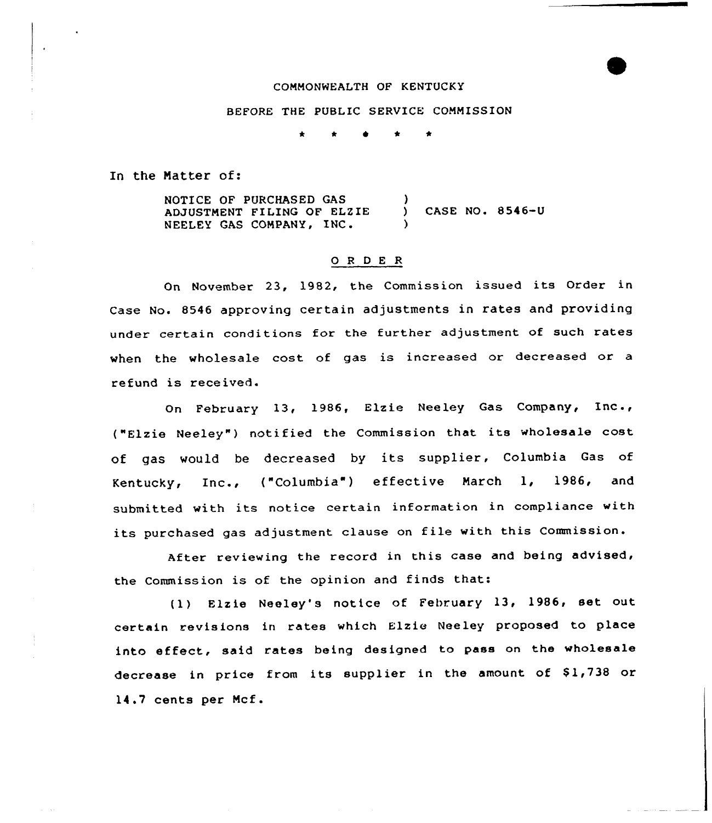# COMMONWEALTH OF KENTUCKY

## BEFORE THE PUBLIC SERVICE COMMISSION

\* \* ~ 4'

In the Matter of:

NOTICE OF PURCHASED GAS ADJUSTMENT FI LING OF ELZ IE NEELEY GAS COMPANY, INC. ) ) CASE NO. 8546-U )

#### 0 <sup>R</sup> <sup>D</sup> <sup>E</sup> <sup>R</sup>

On November 23, 1982, the Commission issued its Order in Case No. 8546 approving certain adjustments in rates and providing under certain conditions for the further adjustment of such rates when the wholesale cost of gas is increased or decreased or a refund is received.

On February 13, 1986, Elzie Neeley Gas Company, InC., ("Elzie Neeley") notified the Commission that its wholesale cost of gas would be decreased by its supplier, Columbia Gas of Kentucky, Inc., ("Columbia"} effective March 1, 1986, and submitted with its notice certain information in compliance with its purchased gas adjustment clause on file with this Commission.

After reviewing the record in this case and being advised, the Commission is of the opinion and finds that:

(1) Elzie Neeley's notice of February 13, 1986, set out certain revisions in rates which Elzie Neeley proposed to place into effect, said rates being designed to pass on the wholesale decrease in price from its supplier in the amount of \$1,738 or 14.7 cents per Mcf.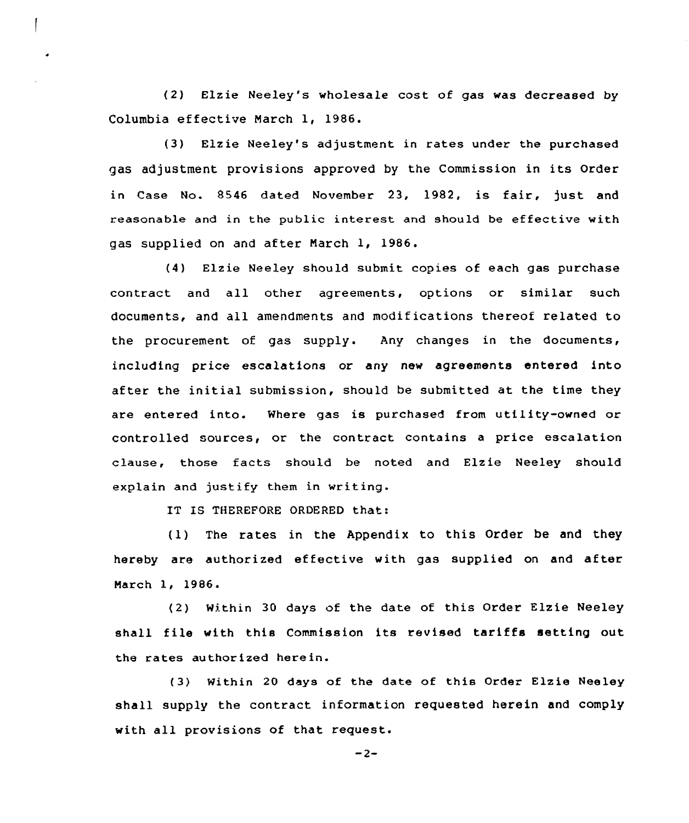(2} Elzie Neeley's wholesale cost of gas was decreased by Columbia effective March 1, 1986.

(3) Elzie Neeley's adjustment in rates under the purchased gas adjustment provisions approved by the Commission in its Order in Case No. 8546 dated November 23, 1982, is fair, just and reasonable and in the public interest and should be effective with gas supplied on and after March 1, 1986.

(4) Elzie Neeley should submit copies of each gas purchase contract and all other agreements, options or similar such documents, and all amendments and modifications thereof related to the procurement of gas supply. Any changes in the documents, including price escalations or any new agreements entered into after the initial submission, should be submitted at the time they are entered into. Where gas is purchased from utility-owned or controlled sources, or the contract contains a price escalation clause, those facts should be noted and Elzie Neeley should explain and justify them in writing.

IT IS THEREFORE ORDERED that:

(1) The rates in the Appendix to this Order be and they hereby are authorized effective with gas supplied on and after March 1, 1986.

(2) Within 30 days of the date of this Order Elzie Neeley shall file with this Commission its revised tariffs setting out the rates authorized herein.

(3) Within 20 days of the date of this Order Elzie Neeley shall supply the contract information requested herein and comply with all provisions of that request.

 $-2-$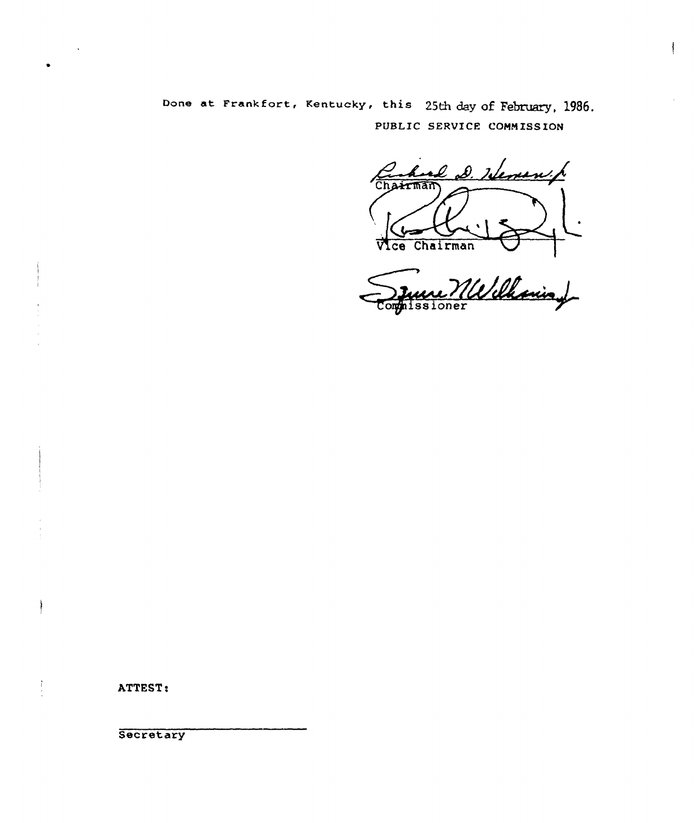Done at Frankfort, Kentucky, this 25th day of February, 1986. PUBLIC SERVICE COHNISS IOH

al D. Heren p **Arman** 

 $\mathbf{\mathbf{I}}$ 

Vice Chairman<br>Juin *MW Chaning* nissioner

ATTEST:

 $\frac{1}{2}$ 

é

**Secretary**